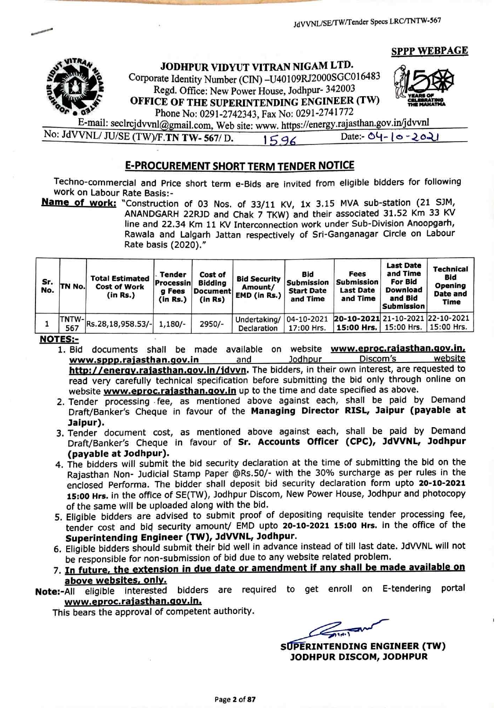SPPP WEBPAG



JODHPUR VIDYUT VITRAN NIGAM LTD.

Corporate Identity Number (CIN) -U40109RJ2000SGC010483 Regd. Office: New Power House, Jodhpur- 342003<br>OFFICE OF THE SUPERINTENDING ENGINEER (TW) JODHPUR VIDYUT VITRAN NIGAM LTD.<br>Corporate Identity Number (CIN) -U40109RJ2000SGC016483<br>Regd. Office: New Power House, Jodhpur- 342003<br>OFFICE OF THE SUPERINTENDING ENGINEER (TW)



Phone No: 0291-2742343, Fax No: 0291-2741772 E-mail: seclrcjdvvnl ail.com, Web site: www. https://energy.tajasthan.gov.in/jdvvnl No: JdVVNL/ JU/SE (TWVF.TN TW- 567/ D. 15.96 Date:  $O(1 - 10 - 2021)$ 

## E-PROCUREMENT SHORT TERM TENDER NOTICE

Techno-commercial and Price short term e-Bids are invited from eligible bidders for following<br>work on Labour Rate Basis:-<br>**Name of work:** "Construction of 03 Nos. of 33/11 KV, 1x 3.15 MVA sub-station (21 SJM,

ANANDGARH 22RJD and Chak 7 TKW) and their associated 31.52 Km 33 KV line and 22.34 Km 11 KV Interconnection work under Sub-Division Anoopgarh, Rawala and Lalgarh Jattan respectively of Sri-Ganganagar Circle on Labour<br>Rate basis (2020)."

| Sr.<br>No. | TN No.        | <b>Total Estimated</b><br><b>Cost of Work</b><br>(in Rs.) | Tender<br>Processin<br>g Fees<br>(in Rs.) | Cost of<br>Bidding<br>Document'<br>(in Rs) | <b>Bid Security</b><br>Amount/<br>EMD (in Rs.) | Bid<br><b>Submission</b><br><b>Start Date</b><br>and Time | Fees<br><b>Submission</b><br><b>Last Date</b><br>and Time | <b>Last Date</b><br>and Time<br><b>For Bid</b><br>Download<br>and Bid<br><b>Submission</b> | Technical<br>Bid<br>Opening<br>Date and<br><b>Time</b> |
|------------|---------------|-----------------------------------------------------------|-------------------------------------------|--------------------------------------------|------------------------------------------------|-----------------------------------------------------------|-----------------------------------------------------------|--------------------------------------------------------------------------------------------|--------------------------------------------------------|
|            | TNTW-L<br>567 | Rs.28,18,958.53/-                                         | $1,180/-$                                 | 2950/-                                     | Undertaking/ 04-10-2021<br>Declaration         | 17:00 Hrs.                                                | 20-10-2021 21-10-2021 22-10-2021                          | 15:00 Hrs.   15:00 Hrs.   15:00 Hrs.                                                       |                                                        |

**NOTES:-**

1. Bid documents shall be made available on website www.eproc.rajasthan.gov.in.<br>www.sppp.rajasthan.gov.in and and lodhpur Discom's website www.sppp.rajasthan.gov.in and Jodhpur Discom's website http://energy.rajasthan.gov.in/jdvyn</u>. The bidders, in their own interest, are requested to read very carefully technical specification before submitting the bid only through online on website **www.eproc.rajasthan.gov.in** up to the time and date specified as above.

- 2. Tender processing .fee, as mentioned above against each, shall be paid by Demand Draft/Banker's Cheque in favour of the Managing Director RISL, Jaipur (payable at<br>Jaipur).
- 3. Tender document cost, as mentioned above against each, shall be paid by Demand Draft/Banker's Cheque in favour of Sr. Accounts Officer (CPC), JdVVNL, Jodhpur<br>(payable at Jodhpur).
- 4. The bidders will submit the bid security declaration at the time of submitting the bid on the Rajasthan Non- Judicial Stamp Paper @Rs.50/- with the 30% surcharge as per rules in the enclosed Performa. The bidder shall deposit bid security declaration form upto 20-10-2021 15:00 Hrs. in the office of SE(TW), Jodhpur Discom, New Power House, Jodhpur and photocopy of the same will be uploaded along with the bid.
- 5. Eligible bidders are advised to submit proof of depositing requisite tender processing fee, tender cost and bid security amount/ EMD upto 20-10-2021 15:00 Hrs. in the office of the Superintending Engineer (TW), JdVVNL, Jodhpur.
- 6. Eligible bidders should submit their bid well in advance instead of till last date. JdVVNL will not be responsible for non-submission of bid due to any website related problem.
- 7. <u>In future, the extension in due date or amendment if any shall be made</u> above websites, only.

Note:-All eligible interested bidders are required to get enroll on E-tendering portal<br>www.eproc.rajasthan.gov.in.

This bears the approval of competent authority.

 $\frac{1}{2}$ 

JODHPUR DISCOM, JODHPUR SUPERINTENDING ENGINEER (TW)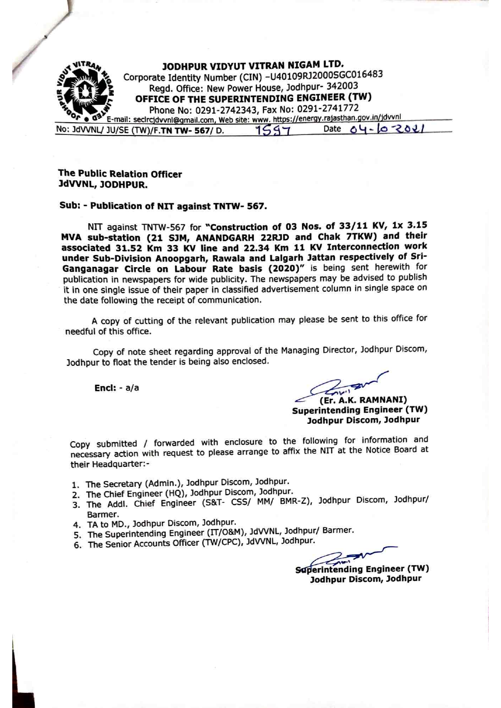

#### **The Public Relation Officer** Public Relation Officer JdVVNL, JODHPUR. John Polish John Polish John Polish John Polish John Polish John Polish John Polish John Polish John Polish John Polish John Polish John Polish John Polish John Polish John Polish John Polish John Polish John Polish John P

### Sub: Publication of NIT against TNTW- 567.

 $N11$  against  $N1N+1N-101$  for Construction of 03 Nos. of 33/11  $\mu$  4.15/11  $\mu$  $M_{\rm X}$  sub-station (21 SJM, ANANDGARH 22RD and Chak 7TKW) and the theory associated 31.52 Km <sup>33</sup> KV line and 22.34 Km <sup>11</sup> KV Interconnection work under Sub-Division Anoopgarh, Rawala and Lalgarh Jattan respectively of Sri- Ganganagar Circle on Labour Rate basis (2020)" is being sent herewith for publication in newspapers for wide publicity. The newspapers may be advised to publish it in one single issue of their paper in classified advertisement column in single space on the date following the receipt of communication.

copy of cutting of the relevant publication may please be sent to this office for needful of this office.

Copy of note sheet regarding approval of the Managing Director, Jodhpur Discom, Jodhpur to float the tender is being also enclosed.

Encl:  $- a/a$ 

their Headquarter:-

 $\blacksquare$  . And the stationarties of the stationarties of the stationarties of the stationarties of the stationarties of the stationarties of the stationarties of the stationarties of the stationarties of the stationarties o (Er. A.K. RAMNANI) Superintending Engineer (TW) is a set of the control of the control of the control of the control of the control of the control of the control of the control of the control of the control of the control of the control of t Jodhpur Discom, Jodhpur

Copy submitted / forwarded with enclosure to the following for information and necessary action with request to please arrange to affix the NIT at the Notice Board at

- 1. The Secretary (Admin.), Jodhpur Discom, Jodhpur.  $S$  is a secretary (Administration Discomment),  $S = \frac{1}{2}$
- 
- The Chief  $E$ ngineer (HQ),  $\epsilon$  -  $\epsilon$ The Addi. Chief Engineer (S&T-  $\cos$ ) and BMR-Z),  $\sin$  and  $\sin$ The Secretary (Admin.), Jodhpur Discom, Jodhpur.<br>
The Chief Engineer (HQ), Jodhpur Discom, Jodhpur.<br>
The Addl. Chief Engineer (S&T- CSS/ MM/ BMR-Z), Jodhpur Discom, Jodhpur/<br>
Barmer.<br>
The Superintending Engineer (IT/O&M),
- Barmer.
- Take the second contract of the second contract of the second contract of the second contract of the second contract of the second contract of the second contract of the second contract of the second contract of the second MD., Jodhpur Discom, Jodhpur. The Superintending Engineer  $(11/0.8M)$ ,  $(2.0M)$ ,  $(3.0M)$
- The Senior Accounts Officer (TW/CPC), JdVVNL, Jodhpur.

 $\sum_{i=1}^{n}$